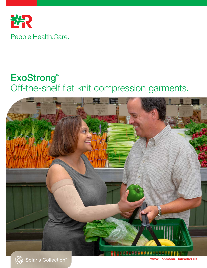

## ExoStrong™ Off-the-shelf flat knit compression garments.





www.Lohmann-Rauscher.us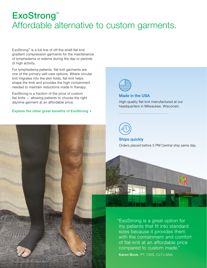## ExoStrong™ Affordable alternative to custom garments.

ExoStrong™ is a full line of off-the-shelf flat knit gradient compression garments for the maintenance of lymphedema or edema during the day or periods of high activity.

For lymphedema patients, flat knit garments are one of the primary self-care options. Where circular knit migrates into the skin folds, flat knit helps shape the limb and provides the high containment needed to maintain reductions made in therapy.

daytime garment at an affordable price. ExoStrong is a fraction of the price of custom flat knits — allowing patients to choose the right

# Explore the other Explore the other great benefits of ExoStrong  $\rightarrow$

custom flat knit



#### Made in the USA

High-quality flat knit manufactured at our headquarters in Milwaukee, Wisconsin.



Ships quickly Orders placed before 5 PM Central ship same day.



"ExoStrong is a great option for my patients that fit into standard sizes because it provides them with the containment and comfort of flat-knit at an affordable price compared to custom made."

Karen Bock, PT, CWS, CLT-LANA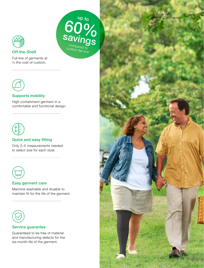

#### Off-the-Shelf

Full line of garments at 1⁄ 3 the cost of custom.



#### Supports mobility

High containment garment in a comfortable and functional design. up to

compared to custom flat knit



### Quick and easy fitting

Only 2–5 measurements needed to select size for each style.



### Easy garment care

Machine washable and dryable to maintain fit for the life of the garment.



#### Service guarantee

Guaranteed to be free of material and manufacturing defects for the six-month life of the garment.

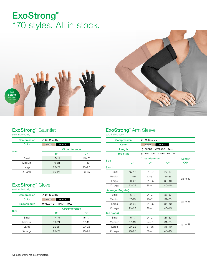## ExoStrong™ 170 styles. All in stock.



## **ExoStrong™ Gauntlet**

sold individually

| <b>Compression</b> | ≟1 20-30 mmHg                |                |  |  |  |  |
|--------------------|------------------------------|----------------|--|--|--|--|
| Color              | <b>BLACK</b><br><b>BEIGE</b> |                |  |  |  |  |
| <b>Size</b>        | <b>Circumference</b>         |                |  |  |  |  |
|                    | B <sup>c</sup>               | C <sup>c</sup> |  |  |  |  |
| Small              | $17 - 19$                    | $15 - 17$      |  |  |  |  |
| Medium             | $19 - 21$                    | $17 - 19$      |  |  |  |  |
| Large              | $22 - 24$                    | $20 - 22$      |  |  |  |  |
| X-Large            | $25 - 27$                    | $23 - 25$      |  |  |  |  |

## **ExoStrong<sup>™</sup> Glove**

sold individually

| <b>Compression</b>   | ≟1 20-30 mmHg                                        |             |  |  |  |  |
|----------------------|------------------------------------------------------|-------------|--|--|--|--|
| Color                | <b>BLACK</b><br><b>BEIGE</b>                         |             |  |  |  |  |
| <b>Finger length</b> | √ <sup>n</sup> QUARTER<br><b>HALF</b><br><b>FULL</b> |             |  |  |  |  |
|                      | <b>Circumference</b>                                 |             |  |  |  |  |
| <b>Size</b>          | B <sup>c</sup>                                       | $C_{\rm c}$ |  |  |  |  |
| Small                | $17 - 19$                                            | $15 - 17$   |  |  |  |  |
| Medium               | $19 - 21$                                            | $17 - 19$   |  |  |  |  |
| Large                | $22 - 24$                                            | $20 - 22$   |  |  |  |  |
| X-Large              | $25 - 27$                                            | $23 - 25$   |  |  |  |  |

## **ExoStrong<sup>™</sup> Arm Sleeve**

sold individually

|                    | <b>Compression</b> | ±1 20-30 mmHg           |                               |                 |  |  |
|--------------------|--------------------|-------------------------|-------------------------------|-----------------|--|--|
| Color              |                    | <b>BEIGE</b>            | <b>BLACK</b>                  |                 |  |  |
| Length             |                    | ₹<br><b>SHORT</b>       | <b>TALL</b><br><b>AVERAGE</b> |                 |  |  |
| <b>Top style</b>   |                    | IIII<br><b>KNIT TOP</b> | <b><i>SSILICONE TOP</i></b>   |                 |  |  |
| <b>Size</b>        |                    | <b>Circumference</b>    |                               | Length          |  |  |
|                    | C <sub>c</sub>     | F <sub>c</sub>          | G <sup>c</sup>                | CG <sup>L</sup> |  |  |
| <b>Short</b>       |                    |                         |                               |                 |  |  |
| Small              | $15 - 17$          | $24 - 27$               | $27 - 30$                     |                 |  |  |
| Medium             | $17 - 19$          | $27 - 31$<br>$31 - 35$  |                               |                 |  |  |
| Large              | $20 - 22$          | $31 - 35$               | $35 - 40$                     | up to 43        |  |  |
| X-Large            | $23 - 25$          | $36 - 41$               | $40 - 45$                     |                 |  |  |
| Average (Regular)  |                    |                         |                               |                 |  |  |
| Small              | $15 - 17$          | $24 - 27$               | $27 - 30$                     |                 |  |  |
| Medium             | $17 - 19$          | $27 - 31$               | $31 - 35$                     |                 |  |  |
| $20 - 22$<br>Large |                    | $31 - 35$               | $35 - 40$                     | up to 46        |  |  |
| X-Large            | $23 - 25$          | $36 - 41$               | $40 - 45$                     |                 |  |  |
| Tall (Long)        |                    |                         |                               |                 |  |  |
| Small              | $15 - 17$          | $24 - 27$               | $27 - 30$                     | up to 49        |  |  |
| Medium             | $17 - 19$          | $27 - 31$               | $31 - 35$                     |                 |  |  |
| Large              | $20 - 22$          | $31 - 35$               | $35 - 40$                     |                 |  |  |
| X-Large            | $23 - 25$          | $36 - 41$               | $40 - 45$                     |                 |  |  |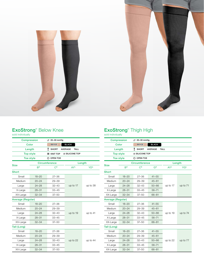



### **ExoStrong<sup>™</sup> Below Knee**

sold individually

| <b>Compression</b> |                      |                | ±1 20-30 mmHg        |                            |             |            |  |
|--------------------|----------------------|----------------|----------------------|----------------------------|-------------|------------|--|
| Color              |                      |                | <b>BEIGE</b>         | <b>BLACK</b>               |             |            |  |
| Length             |                      | T              | <b>SHORT</b>         | <b>AVERAGE</b>             | <b>TALL</b> |            |  |
|                    | <b>Top style</b>     |                | <b>IIII KNIT TOP</b> | <b><i>SILICONE TOP</i></b> |             |            |  |
| <b>Toe style</b>   |                      |                | O OPEN TOE           |                            |             |            |  |
| <b>Size</b>        | <b>Circumference</b> |                |                      |                            | Length      |            |  |
|                    | B <sub>c</sub>       | C <sub>c</sub> |                      |                            | <b>AYL</b>  | <b>YDL</b> |  |
| <b>Short</b>       |                      |                |                      |                            |             |            |  |
| Small              | $18 - 20$            |                | $27 - 36$            |                            |             | up to 38   |  |
| Medium             | $20 - 24$            |                | $29 - 39$            |                            |             |            |  |
| Large              | $24 - 28$            |                | $32 - 43$            |                            | up to 17    |            |  |
| X-Large            | $28 - 31$            |                | $33 - 45$            |                            |             |            |  |
| XX-Large           | $32 - 34$            |                | $37 - 50$            |                            |             |            |  |
| Average (Regular)  |                      |                |                      |                            |             |            |  |
| Small              | $18 - 20$            |                | $27 - 36$            |                            |             | up to 41   |  |
| Medium             | $20 - 24$            |                | $29 - 39$            |                            |             |            |  |
| Large              | $24 - 28$            |                | $32 - 43$            |                            | up to 19    |            |  |
| X-Large            | $28 - 31$            |                | $33 - 45$            |                            |             |            |  |
| XX-Large           | $32 - 34$            |                | $37 - 50$            |                            |             |            |  |
| <b>Tall (Long)</b> |                      |                |                      |                            |             |            |  |
| Small              | $18 - 20$            |                | $27 - 36$            |                            |             |            |  |
| Medium             | $20 - 24$            |                | $29 - 39$            |                            |             |            |  |
| Large              | $24 - 28$            |                | $32 - 43$            |                            | up to 22    | up to 44   |  |
| X-Large            | $28 - 31$            |                | $33 - 45$            |                            |             |            |  |
| XX-Large           | $32 - 34$            |                | $37 - 50$            |                            |             |            |  |

## **ExoStrong™ Thigh High**

sold individually

| <b>Compression</b> |                | i_↑ 20-30 mmHg             |                |             |                       |  |
|--------------------|----------------|----------------------------|----------------|-------------|-----------------------|--|
| Color              |                | <b>BEIGE</b>               | <b>BLACK</b>   |             |                       |  |
| Length             |                | T<br><b>SHORT</b>          | <b>AVERAGE</b> | <b>TALL</b> |                       |  |
| <b>Top style</b>   |                | <b><i>SILICONE TOP</i></b> |                |             |                       |  |
| <b>Toe style</b>   |                | O OPEN TOE                 |                |             |                       |  |
| <b>Size</b>        |                | <b>Circumference</b>       |                | Length      |                       |  |
|                    | B <sup>c</sup> | $C_{\rm c}$                | Gc             | <b>AYL</b>  | <b>YG<sup>L</sup></b> |  |
| <b>Short</b>       |                |                            |                |             |                       |  |
| Small              | $18 - 20$      | $27 - 36$                  | $41 - 55$      |             | up to $71$            |  |
| Medium             | $20 - 24$      | $29 - 39$                  | $45 - 61$      |             |                       |  |
| Large              | $24 - 28$      | $32 - 43$                  | $50 - 66$      | up to 17    |                       |  |
| X-Large            | $28 - 31$      | $33 - 45$                  | $56 - 71$      |             |                       |  |
| XX-Large           | $32 - 34$      | $37 - 50$                  | $66 - 81$      |             |                       |  |
| Average (Regular)  |                |                            |                |             |                       |  |
| Small              | $18 - 20$      | $27 - 36$                  | $41 - 55$      |             |                       |  |
| Medium             | $20 - 24$      | $29 - 39$                  | $45 - 61$      |             | up to 74              |  |
| Large              | $24 - 28$      | $32 - 43$                  | $50 - 66$      | up to 19    |                       |  |
| X-Large            | $28 - 31$      | $33 - 45$                  | $56 - 71$      |             |                       |  |
| XX-Large           | $32 - 34$      | $37 - 50$                  | $66 - 81$      |             |                       |  |
| Tall (Long)        |                |                            |                |             |                       |  |
| Small              | $18 - 20$      | $27 - 36$                  | $41 - 55$      |             |                       |  |
| Medium             | $20 - 24$      | $29 - 39$                  | $45 - 61$      |             |                       |  |
| Large              | $24 - 28$      | $32 - 43$                  | $50 - 66$      | up to 22    | up to 77              |  |
| X-Large            | $28 - 31$      | $33 - 45$                  | $56 - 71$      |             |                       |  |
| XX-Large           | $32 - 34$      | $37 - 50$                  | $66 - 81$      |             |                       |  |